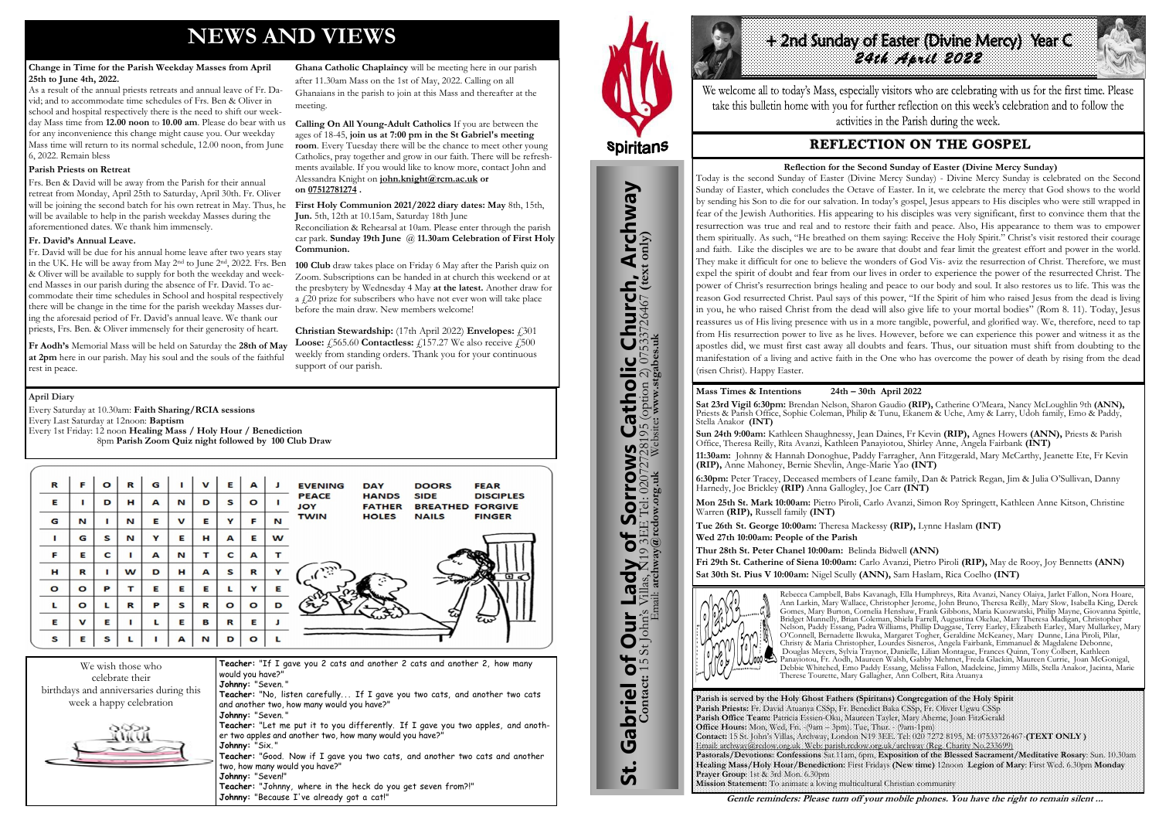## **NEWS AND VIEWS**

#### **Change in Time for the Parish Weekday Masses from April 25th to June 4th, 2022.**

As a result of the annual priests retreats and annual leave of Fr. David; and to accommodate time schedules of Frs. Ben & Oliver in school and hospital respectively there is the need to shift our weekday Mass time from **12.00 noon** to **10.00 am**. Please do bear with us for any inconvenience this change might cause you. Our weekday Mass time will return to its normal schedule, 12.00 noon, from June 6, 2022. Remain bless

#### **Parish Priests on Retreat**

Frs. Ben & David will be away from the Parish for their annual retreat from Monday, April 25th to Saturday, April 30th. Fr. Oliver will be joining the second batch for his own retreat in May. Thus, he will be available to help in the parish weekday Masses during the aforementioned dates. We thank him immensely.

#### **Fr. David's Annual Leave.**

Fr. David will be due for his annual home leave after two years stay in the UK. He will be away from May 2nd to June 2nd, 2022. Frs. Ben & Oliver will be available to supply for both the weekday and weekend Masses in our parish during the absence of Fr. David. To accommodate their time schedules in School and hospital respectively there will be change in the time for the parish weekday Masses during the aforesaid period of Fr. David's annual leave. We thank our priests, Frs. Ben. & Oliver immensely for their generosity of heart.

**Christian Stewardship:** (17th April 2022) **Envelopes:**  $\hat{f}$  301 **Loose: £565.60 Contactless: £157.27** We also receive **£500** weekly from standing orders. Thank you for your continuous support of our parish.

**Fr Aodh's** Memorial Mass will be held on Saturday the **28th of May at 2pm** here in our parish. May his soul and the souls of the faithful rest in peace.

#### **Ghana Catholic Chaplaincy** will be meeting here in our parish after 11.30am Mass on the 1st of May, 2022. Calling on all Ghanaians in the parish to join at this Mass and thereafter at the meeting.

**Calling On All Young-Adult Catholics** If you are between the ages of 18-45, **join us at 7:00 pm in the St Gabriel's meeting room**. Every Tuesday there will be the chance to meet other young Catholics, pray together and grow in our faith. There will be refreshments available. If you would like to know more, contact John and Alessandra Knight on **[john.knight@rcm.ac.uk](mailto:john.knight@rcm.ac.uk) or on [07512781274](tel:+447512781274) .**

**First Holy Communion 2021/2022 diary dates: May** 8th, 15th, **Jun.** 5th, 12th at 10.15am, Saturday 18th June

Reconciliation & Rehearsal at 10am. Please enter through the parish car park. **Sunday 19th June** @ **11.30am Celebration of First Holy Communion.**

**100 Club** draw takes place on Friday 6 May after the Parish quiz on Zoom. Subscriptions can be handed in at church this weekend or at the presbytery by Wednesday 4 May **at the latest.** Another draw for a £20 prize for subscribers who have not ever won will take place before the main draw. New members welcome!

We wish those who celebrate their birthdays and anniversaries during this week a happy celebration



**Teacher:** "If I gave you 2 cats and another 2 cats and another 2, how many would you have?" **Johnny:** "Seven. " Teacher: "No, listen carefully... If I gave you two cats, and another two cats and another two, how many would you have?" **Johnny:** "Seven. " **Teacher:** "Let me put it to you differently. If I gave you two apples, and another two apples and another two, how many would you have?" **Johnny:** "Six. " **Teacher:** "Good. Now if I gave you two cats, and another two cats and another two, how many would you have?" **Johnny:** "Seven!"





St. Gabriel of Our Lady of Sorrows Catholic Church, Archway

r Lady of Sorrows

Gabriel of Our Lady

<u>უ:</u>

**IS Catholic Church, Archway**<br>28195 (option 2) 07533726467 (text only)

#### **April Diary**

Every Saturday at 10.30am: **Faith Sharing/RCIA sessions**  Every Last Saturday at 12noon: **Baptism** 

Every 1st Friday: 12 noon **Healing Mass / Holy Hour / Benediction** 8pm **Parish Zoom Quiz night followed by 100 Club Draw**

| R       | F            | $\circ$ | R | G |             | $\mathbf v$ | Е       | A       |   | <b>EVENING</b><br><b>DOORS</b><br><b>FEAR</b><br><b>DAY</b>                                                               |
|---------|--------------|---------|---|---|-------------|-------------|---------|---------|---|---------------------------------------------------------------------------------------------------------------------------|
| E       |              | D       | н | A | N           | D           | s       | $\circ$ |   | <b>PEACE</b><br><b>HANDS</b><br><b>SIDE</b><br><b>DISCIPLES</b><br><b>JOY</b><br><b>FATHER</b><br><b>BREATHED FORGIVE</b> |
| G       | N            |         | N | E | $\mathbf v$ | Е           | Y       | F       | N | <b>TWIN</b><br><b>HOLES</b><br><b>NAILS</b><br><b>FINGER</b>                                                              |
|         | G            | S       | N | Y | Е           | н           | A       | Е       | w |                                                                                                                           |
| F       | Е            | C       |   | A | N           | т           | C       | A       |   |                                                                                                                           |
| н       | R            |         | w | D | н           | A           | s       | R       | v | رژن<br>$\bullet$                                                                                                          |
| $\circ$ | $\circ$      | P       | т | Е | Е           | Е           |         | Y       | Е |                                                                                                                           |
| г       | $\circ$      | L       | R | P | s           | R           | $\circ$ | $\circ$ | D |                                                                                                                           |
| E       | $\mathbf{v}$ | Е       |   |   | Е           | в           | R       | E       |   | tw                                                                                                                        |
| s       | Е            | S       |   |   | А           | N           | D       | $\circ$ |   |                                                                                                                           |

**Parish is served by the Holy Ghost Fathers (Spiritans) Congregation of the Holy Spirit Parish Priests:** Fr. David Atuanya CSSp, Fr. Benedict Baka CSSp, Fr. Oliver Ugwu CSSp **Parish Office Team:** Patricia Essien-Oku, Maureen Tayler, Mary Aherne, Joan FitzGerald **Office Hours:** Mon, Wed, Fri. -(9am – 3pm). Tue, Thur. - (9am-1pm) **Contact:** 15 St. John's Villas, Archway, London N19 3EE. Tel: 020 7272 8195, M: 07533726467-**(TEXT ONLY )** Email: archway@rcdow.org.uk Web: parish.rcdow.org.uk/archway (Reg. Charity No.233699) **Pastorals/Devotions: Confessions** Sat.11am, 6pm, **Exposition of the Blessed Sacrament/Meditative Rosary**: Sun. 10.30am **Healing Mass/Holy Hour/Benediction:** First Fridays **(New time)** 12noon **Legion of Mary**: First Wed. 6.30pm **Monday Prayer Group**: 1st & 3rd Mon. 6.30pm **Mission Statement:** To animate a loving multicultural Christian community

**Contact:** 15 St John's Villas, N19 3EE Tel: 02072728195 (option 2) 07533726467 **(text only)** Email: **archway@rcdow.org.uk** Website**: www.stgabes.uk**

# *2nd Sunday of Easter (Divine Mercy)* Year C<br>24th April 2022

We welcome all to today's Mass, especially visitors who are celebrating with us for the first time. Please take this bulletin home with you for further reflection on this week's celebration and to follow the activities in the Parish during the week.

## **REFLECTION ON THE GOSPEL**

## **Mass Times & Intentions 24th – 30th April 2022**

**Sat 23rd Vigil 6:30pm:** Brendan Nelson, Sharon Gaudio **(RIP),** Catherine O'Meara, Nancy McLoughlin 9th **(ANN),**  Priests & Parish Office, Sophie Coleman, Philip & Tunu, Ekanem & Uche, Amy & Larry, Udoh family, Emo & Paddy, Stella Anakor **(INT)**

**Sun 24th 9:00am:** Kathleen Shaughnessy, Jean Daines, Fr Kevin **(RIP),** Agnes Howers **(ANN),** Priests & Parish Office, Theresa Reilly, Rita Avanzi, Kathleen Panayiotou, Shirley Anne, Angela Fairbank **(INT) 11:30am:** Johnny & Hannah Donoghue, Paddy Farragher, Ann Fitzgerald, Mary McCarthy, Jeanette Ete, Fr Kevin **(RIP),** Anne Mahoney, Bernie Shevlin, Ange-Marie Yao **(INT)**

**6:30pm:** Peter Tracey, Deceased members of Leane family, Dan & Patrick Regan, Jim & Julia O'Sullivan, Danny Harnedy, Joe Brickley **(RIP)** Anna Gallogley, Joe Carr **(INT)**

**Mon 25th St. Mark 10:00am:** Pietro Piroli, Carlo Avanzi, Simon Roy Springett, Kathleen Anne Kitson, Christine Warren **(RIP),** Russell family **(INT)**

**Tue 26th St. George 10:00am:** Theresa Mackessy **(RIP),** Lynne Haslam **(INT) Wed 27th 10:00am: People of the Parish** 

**Thur 28th St. Peter Chanel 10:00am:** Belinda Bidwell **(ANN) Fri 29th St. Catherine of Siena 10:00am:** Carlo Avanzi, Pietro Piroli **(RIP),** May de Rooy, Joy Bennetts **(ANN) Sat 30th St. Pius V 10:00am:** Nigel Scully **(ANN),** Sam Haslam, Rica Coelho **(INT)**



Rebecca Campbell, Babs Kavanagh, Ella Humphreys, Rita Avanzi, Nancy Olaiya, Jarlet Fallon, Nora Hoare, Ann Larkin, Mary Wallace, Christopher Jerome, John Bruno, Theresa Reilly, Mary Slow, Isabella King, Derek Gomes, Mary Burton, Cornelia Henshaw, Frank Gibbons, Maria Kuozwatski, Philip Mayne, Giovanna Spittle, Bridget Munnelly, Brian Coleman, Shiela Farrell, Augustina Okelue, Mary Theresa Madigan, Christopher Nelson, Paddy Essang, Padra Williams, Phillip Duggase, Terry Earley, Elizabeth Earley, Mary Mullarkey, Mary O'Connell, Bernadette Ikwuka, Margaret Togher, Geraldine McKeaney, Mary Dunne, Lina Piroli, Pilar, Christy & Maria Christopher, Lourdes Sisneros, Angela Fairbank, Emmanuel & Magdalene Debonne, Douglas Meyers, Sylvia Traynor, Danielle, Lilian Montague, Frances Quinn, Tony Colbert, Kathleen Panayiotou, Fr. Aodh, Maureen Walsh, Gabby Mehmet, Freda Glackin, Maureen Currie, Joan McGonigal, Debbie Whitehed, Emo Paddy Essang, Melissa Fallon, Madeleine, Jimmy Mills, Stella Anakor, Jacinta, Marie Therese Tourette, Mary Gallagher, Ann Colbert, Rita Atuanya

**Gentle reminders: Please turn off your mobile phones. You have the right to remain silent ...** 

 **Reflection for the Second Sunday of Easter (Divine Mercy Sunday)** Today is the second Sunday of Easter (Divine Mercy Sunday) - Divine Mercy Sunday is celebrated on the Second Sunday of Easter, which concludes the Octave of Easter. In it, we celebrate the mercy that God shows to the world by sending his Son to die for our salvation. In today's gospel, Jesus appears to His disciples who were still wrapped in fear of the Jewish Authorities. His appearing to his disciples was very significant, first to convince them that the resurrection was true and real and to restore their faith and peace. Also, His appearance to them was to empower them spiritually. As such, "He breathed on them saying: Receive the Holy Spirit." Christ's visit restored their courage and faith. Like the disciples we are to be aware that doubt and fear limit the greatest effort and power in the world. They make it difficult for one to believe the wonders of God Vis- aviz the resurrection of Christ. Therefore, we must expel the spirit of doubt and fear from our lives in order to experience the power of the resurrected Christ. The power of Christ's resurrection brings healing and peace to our body and soul. It also restores us to life. This was the reason God resurrected Christ. Paul says of this power, "If the Spirit of him who raised Jesus from the dead is living in you, he who raised Christ from the dead will also give life to your mortal bodies" (Rom 8. 11). Today, Jesus reassures us of His living presence with us in a more tangible, powerful, and glorified way. We, therefore, need to tap from His resurrection power to live as he lives. However, before we can experience this power and witness it as the apostles did, we must first cast away all doubts and fears. Thus, our situation must shift from doubting to the manifestation of a living and active faith in the One who has overcome the power of death by rising from the dead (risen Christ). Happy Easter.